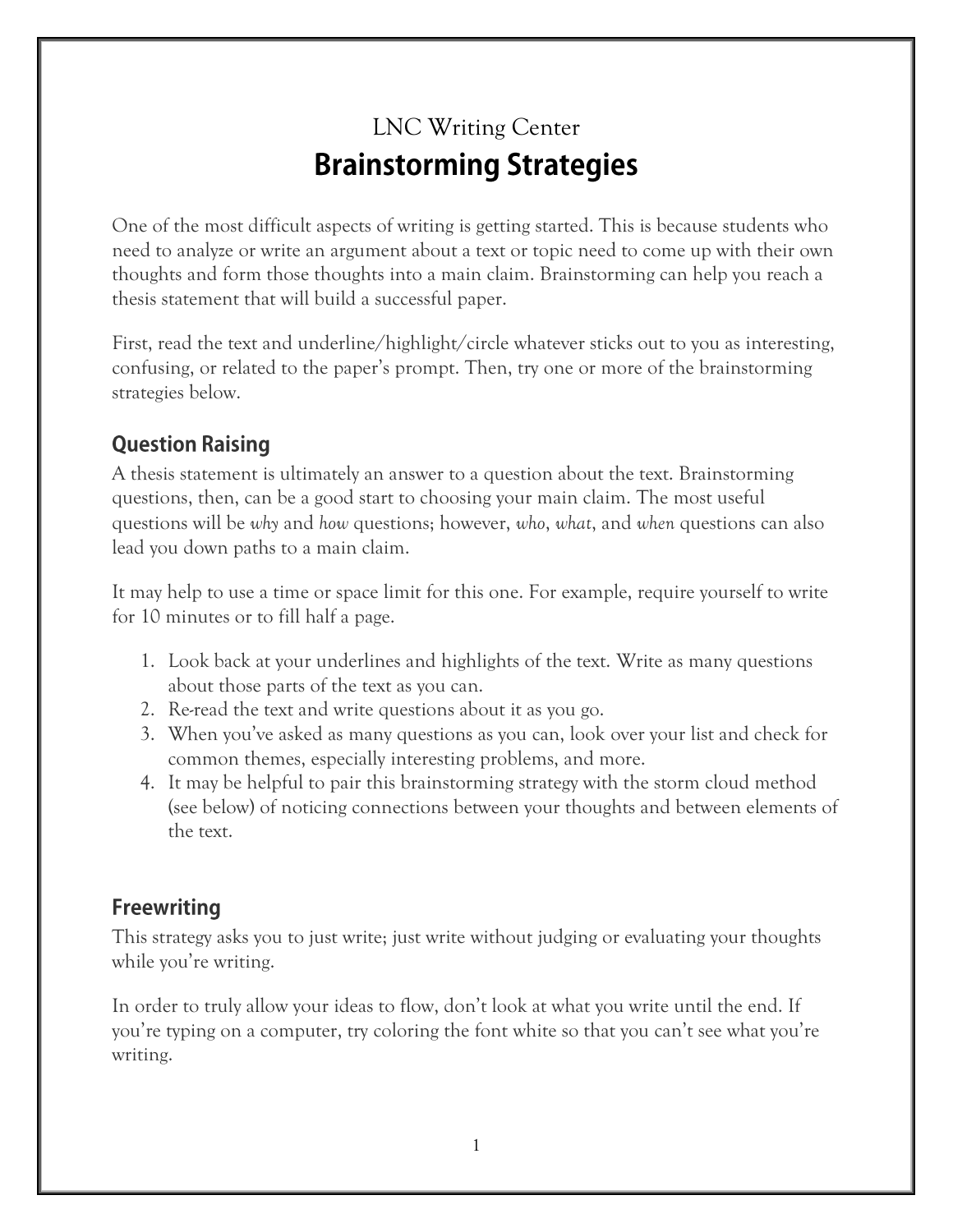## LNC Writing Center **Brainstorming Strategies**

One of the most difficult aspects of writing is getting started. This is because students who need to analyze or write an argument about a text or topic need to come up with their own thoughts and form those thoughts into a main claim. Brainstorming can help you reach a thesis statement that will build a successful paper.

First, read the text and underline/highlight/circle whatever sticks out to you as interesting, confusing, or related to the paper's prompt. Then, try one or more of the brainstorming strategies below.

## **Question Raising**

A thesis statement is ultimately an answer to a question about the text. Brainstorming questions, then, can be a good start to choosing your main claim. The most useful questions will be *why* and *how* questions; however, *who*, *what*, and *when* questions can also lead you down paths to a main claim.

It may help to use a time or space limit for this one. For example, require yourself to write for 10 minutes or to fill half a page.

- 1. Look back at your underlines and highlights of the text. Write as many questions about those parts of the text as you can.
- 2. Re-read the text and write questions about it as you go.
- 3. When you've asked as many questions as you can, look over your list and check for common themes, especially interesting problems, and more.
- 4. It may be helpful to pair this brainstorming strategy with the storm cloud method (see below) of noticing connections between your thoughts and between elements of the text.

## **Freewriting**

This strategy asks you to just write; just write without judging or evaluating your thoughts while you're writing.

In order to truly allow your ideas to flow, don't look at what you write until the end. If you're typing on a computer, try coloring the font white so that you can't see what you're writing.